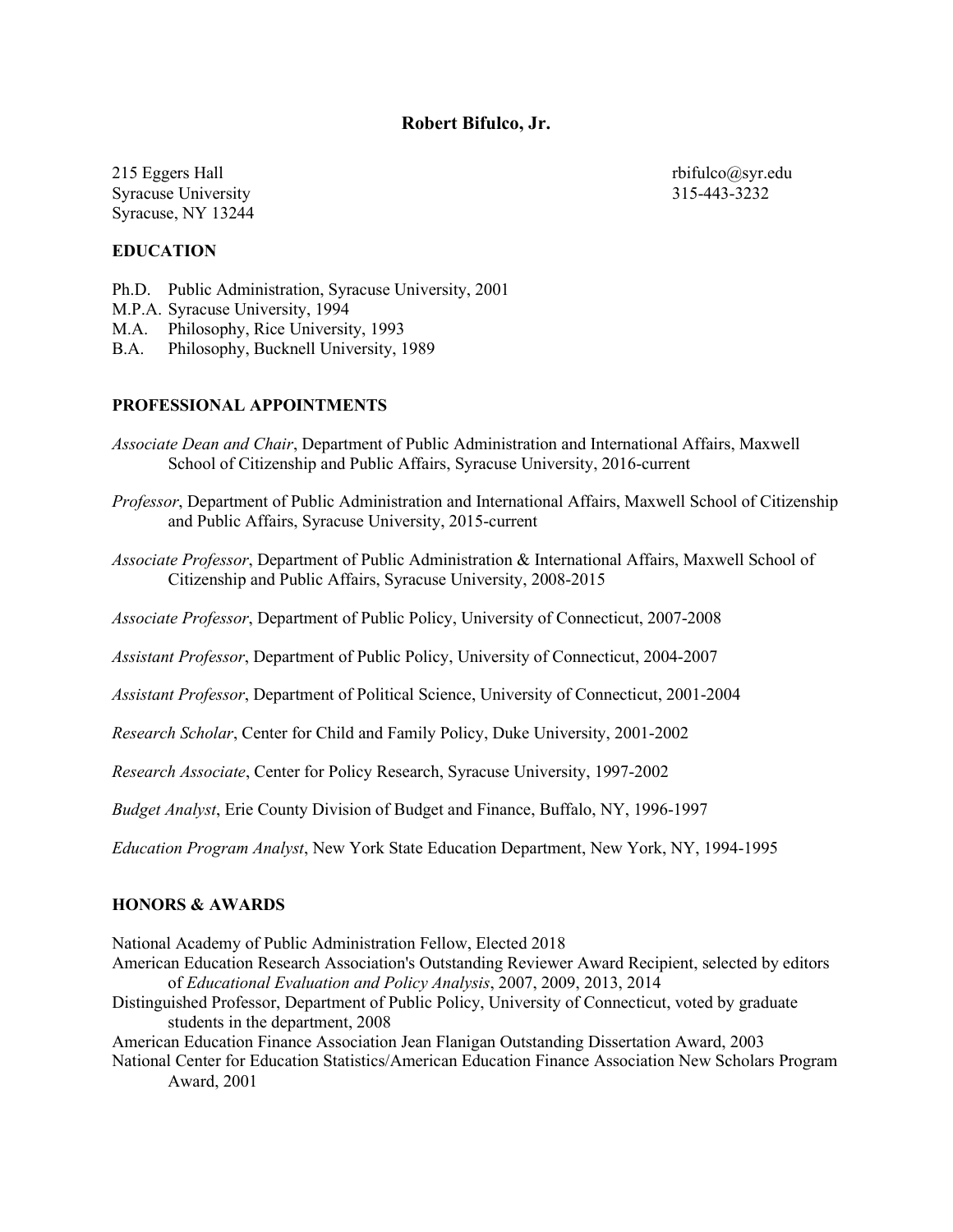# **Robert Bifulco, Jr.**

215 Eggers Hall Syracuse University Syracuse, NY 13244 rbifulco@syr.edu 315-443-3232

## **EDUCATION**

Ph.D. Public Administration, Syracuse University, 2001 M.P.A. Syracuse University, 1994 M.A. Philosophy, Rice University, 1993

B.A. Philosophy, Bucknell University, 1989

## **PROFESSIONAL APPOINTMENTS**

- *Associate Dean and Chair*, Department of Public Administration and International Affairs, Maxwell School of Citizenship and Public Affairs, Syracuse University, 2016-current
- *Professor*, Department of Public Administration and International Affairs, Maxwell School of Citizenship and Public Affairs, Syracuse University, 2015-current
- *Associate Professor*, Department of Public Administration & International Affairs, Maxwell School of Citizenship and Public Affairs, Syracuse University, 2008-2015

*Associate Professor*, Department of Public Policy, University of Connecticut, 2007-2008

*Assistant Professor*, Department of Public Policy, University of Connecticut, 2004-2007

*Assistant Professor*, Department of Political Science, University of Connecticut, 2001-2004

*Research Scholar*, Center for Child and Family Policy, Duke University, 2001-2002

*Research Associate*, Center for Policy Research, Syracuse University, 1997-2002

*Budget Analyst*, Erie County Division of Budget and Finance, Buffalo, NY, 1996-1997

*Education Program Analyst*, New York State Education Department, New York, NY, 1994-1995

#### **HONORS & AWARDS**

National Academy of Public Administration Fellow, Elected 2018

- American Education Research Association's Outstanding Reviewer Award Recipient, selected by editors of *Educational Evaluation and Policy Analysis*, 2007, 2009, 2013, 2014
- Distinguished Professor, Department of Public Policy, University of Connecticut, voted by graduate students in the department, 2008

American Education Finance Association Jean Flanigan Outstanding Dissertation Award, 2003

National Center for Education Statistics/American Education Finance Association New Scholars Program Award, 2001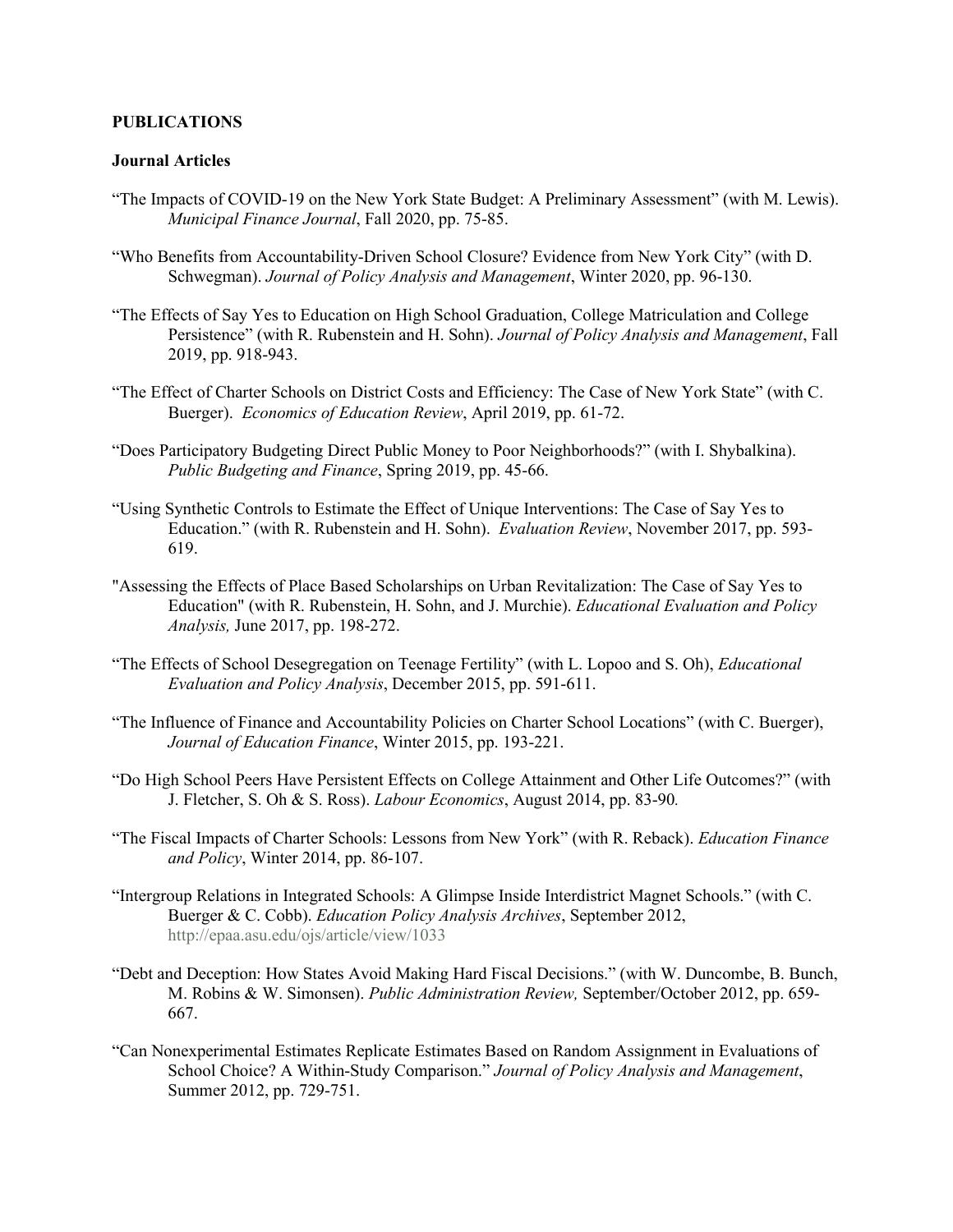#### **PUBLICATIONS**

## **Journal Articles**

- "The Impacts of COVID-19 on the New York State Budget: A Preliminary Assessment" (with M. Lewis). *Municipal Finance Journal*, Fall 2020, pp. 75-85.
- "Who Benefits from Accountability-Driven School Closure? Evidence from New York City" (with D. Schwegman). *Journal of Policy Analysis and Management*, Winter 2020, pp. 96-130.
- "The Effects of Say Yes to Education on High School Graduation, College Matriculation and College Persistence" (with R. Rubenstein and H. Sohn). *Journal of Policy Analysis and Management*, Fall 2019, pp. 918-943.
- "The Effect of Charter Schools on District Costs and Efficiency: The Case of New York State" (with C. Buerger). *Economics of Education Review*, April 2019, pp. 61-72.
- "Does Participatory Budgeting Direct Public Money to Poor Neighborhoods?" (with I. Shybalkina). *Public Budgeting and Finance*, Spring 2019, pp. 45-66.
- "Using Synthetic Controls to Estimate the Effect of Unique Interventions: The Case of Say Yes to Education." (with R. Rubenstein and H. Sohn). *Evaluation Review*, November 2017, pp. 593- 619.
- "Assessing the Effects of Place Based Scholarships on Urban Revitalization: The Case of Say Yes to Education" (with R. Rubenstein, H. Sohn, and J. Murchie). *Educational Evaluation and Policy Analysis,* June 2017, pp. 198-272.
- "The Effects of School Desegregation on Teenage Fertility" (with L. Lopoo and S. Oh), *Educational Evaluation and Policy Analysis*, December 2015, pp. 591-611.
- "The Influence of Finance and Accountability Policies on Charter School Locations" (with C. Buerger), *Journal of Education Finance*, Winter 2015, pp. 193-221.
- "Do High School Peers Have Persistent Effects on College Attainment and Other Life Outcomes?" (with J. Fletcher, S. Oh & S. Ross). *Labour Economics*, August 2014, pp. 83-90*.*
- "The Fiscal Impacts of Charter Schools: Lessons from New York" (with R. Reback). *Education Finance and Policy*, Winter 2014, pp. 86-107.
- "Intergroup Relations in Integrated Schools: A Glimpse Inside Interdistrict Magnet Schools." (with C. Buerger & C. Cobb). *Education Policy Analysis Archives*, September 2012, <http://epaa.asu.edu/ojs/article/view/1033>
- "Debt and Deception: How States Avoid Making Hard Fiscal Decisions." (with W. Duncombe, B. Bunch, M. Robins & W. Simonsen). *Public Administration Review,* September/October 2012, pp. 659- 667.
- "Can Nonexperimental Estimates Replicate Estimates Based on Random Assignment in Evaluations of School Choice? A Within-Study Comparison." *Journal of Policy Analysis and Management*, Summer 2012, pp. 729-751.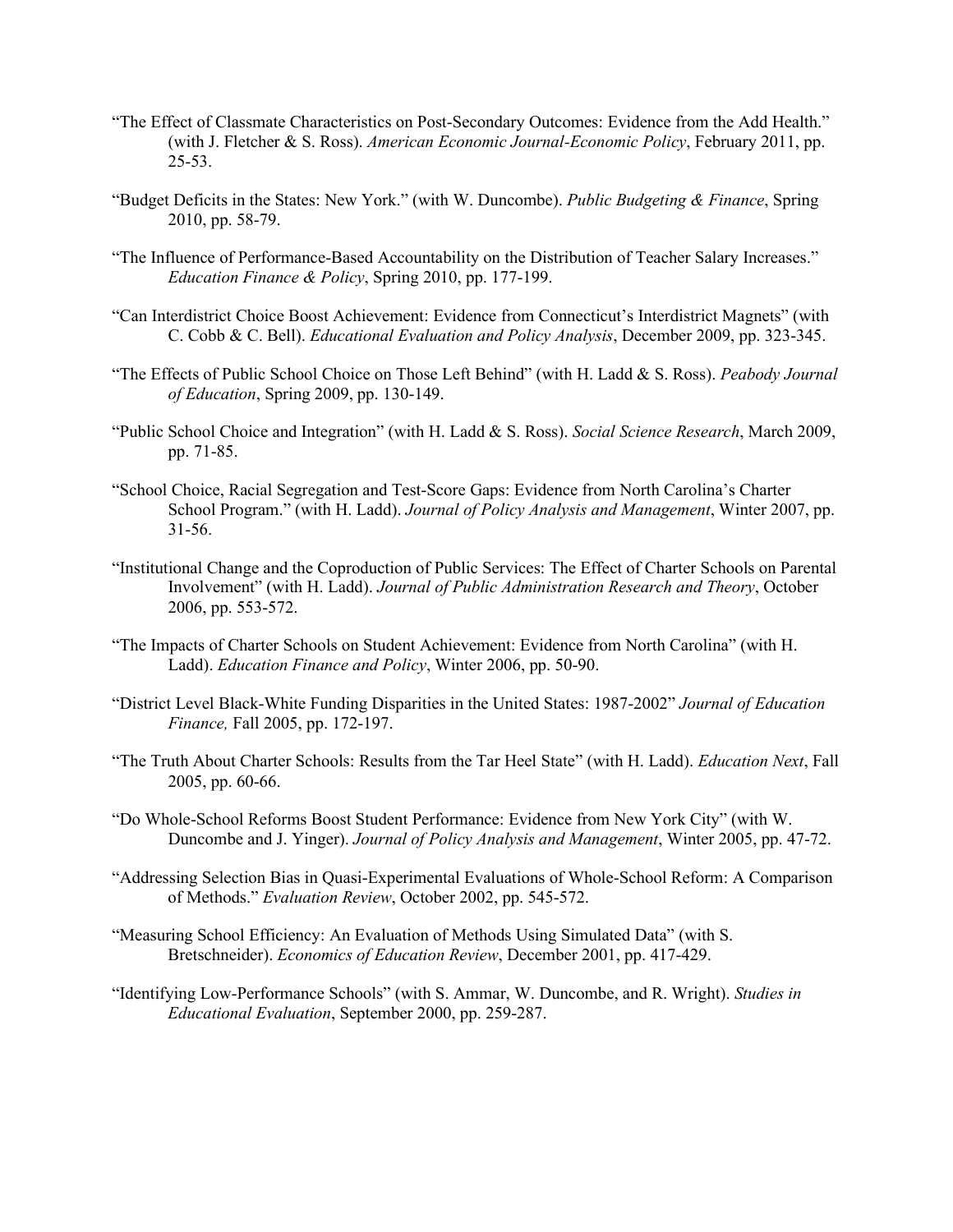- "The Effect of Classmate Characteristics on Post-Secondary Outcomes: Evidence from the Add Health." (with J. Fletcher & S. Ross). *American Economic Journal-Economic Policy*, February 2011, pp. 25-53.
- "Budget Deficits in the States: New York." (with W. Duncombe). *Public Budgeting & Finance*, Spring 2010, pp. 58-79.
- "The Influence of Performance-Based Accountability on the Distribution of Teacher Salary Increases." *Education Finance & Policy*, Spring 2010, pp. 177-199.
- "Can Interdistrict Choice Boost Achievement: Evidence from Connecticut's Interdistrict Magnets" (with C. Cobb & C. Bell). *Educational Evaluation and Policy Analysis*, December 2009, pp. 323-345.
- "The Effects of Public School Choice on Those Left Behind" (with H. Ladd & S. Ross). *Peabody Journal of Education*, Spring 2009, pp. 130-149.
- "Public School Choice and Integration" (with H. Ladd & S. Ross). *Social Science Research*, March 2009, pp. 71-85.
- "School Choice, Racial Segregation and Test-Score Gaps: Evidence from North Carolina's Charter School Program." (with H. Ladd). *Journal of Policy Analysis and Management*, Winter 2007, pp. 31-56.
- "Institutional Change and the Coproduction of Public Services: The Effect of Charter Schools on Parental Involvement" (with H. Ladd). *Journal of Public Administration Research and Theory*, October 2006, pp. 553-572.
- "The Impacts of Charter Schools on Student Achievement: Evidence from North Carolina" (with H. Ladd). *Education Finance and Policy*, Winter 2006, pp. 50-90.
- "District Level Black-White Funding Disparities in the United States: 1987-2002" *Journal of Education Finance,* Fall 2005, pp. 172-197.
- "The Truth About Charter Schools: Results from the Tar Heel State" (with H. Ladd). *Education Next*, Fall 2005, pp. 60-66.
- "Do Whole-School Reforms Boost Student Performance: Evidence from New York City" (with W. Duncombe and J. Yinger). *Journal of Policy Analysis and Management*, Winter 2005, pp. 47-72.
- "Addressing Selection Bias in Quasi-Experimental Evaluations of Whole-School Reform: A Comparison of Methods." *Evaluation Review*, October 2002, pp. 545-572.
- "Measuring School Efficiency: An Evaluation of Methods Using Simulated Data" (with S. Bretschneider). *Economics of Education Review*, December 2001, pp. 417-429.
- "Identifying Low-Performance Schools" (with S. Ammar, W. Duncombe, and R. Wright). *Studies in Educational Evaluation*, September 2000, pp. 259-287.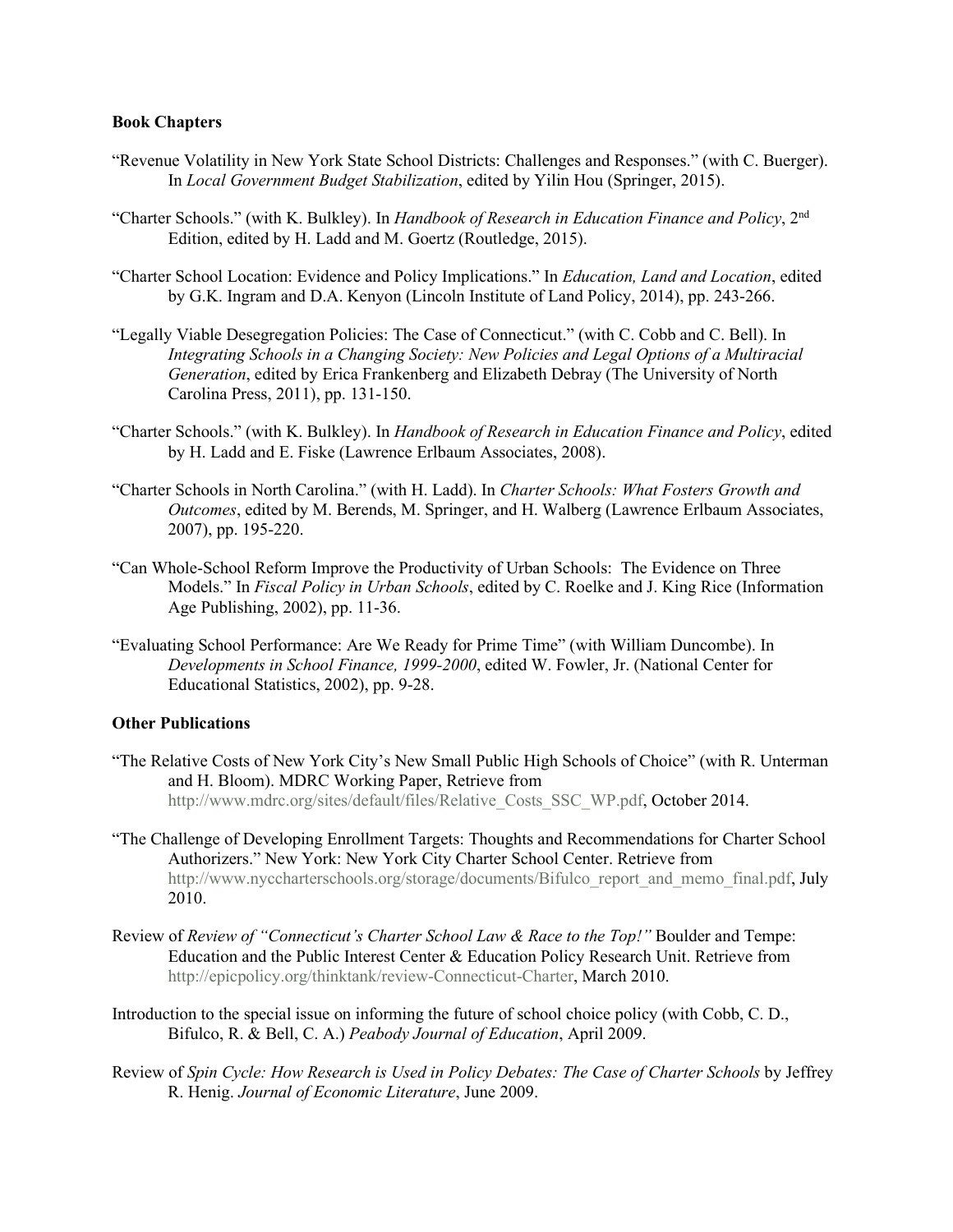#### **Book Chapters**

- "Revenue Volatility in New York State School Districts: Challenges and Responses." (with C. Buerger). In *Local Government Budget Stabilization*, edited by Yilin Hou (Springer, 2015).
- "Charter Schools." (with K. Bulkley). In *Handbook of Research in Education Finance and Policy*, 2nd Edition, edited by H. Ladd and M. Goertz (Routledge, 2015).
- "Charter School Location: Evidence and Policy Implications." In *Education, Land and Location*, edited by G.K. Ingram and D.A. Kenyon (Lincoln Institute of Land Policy, 2014), pp. 243-266.
- "Legally Viable Desegregation Policies: The Case of Connecticut." (with C. Cobb and C. Bell). In *Integrating Schools in a Changing Society: New Policies and Legal Options of a Multiracial Generation*, edited by Erica Frankenberg and Elizabeth Debray (The University of North Carolina Press, 2011), pp. 131-150.
- "Charter Schools." (with K. Bulkley). In *Handbook of Research in Education Finance and Policy*, edited by H. Ladd and E. Fiske (Lawrence Erlbaum Associates, 2008).
- "Charter Schools in North Carolina." (with H. Ladd). In *Charter Schools: What Fosters Growth and Outcomes*, edited by M. Berends, M. Springer, and H. Walberg (Lawrence Erlbaum Associates, 2007), pp. 195-220.
- "Can Whole-School Reform Improve the Productivity of Urban Schools: The Evidence on Three Models." In *Fiscal Policy in Urban Schools*, edited by C. Roelke and J. King Rice (Information Age Publishing, 2002), pp. 11-36.
- "Evaluating School Performance: Are We Ready for Prime Time" (with William Duncombe). In *Developments in School Finance, 1999-2000*, edited W. Fowler, Jr. (National Center for Educational Statistics, 2002), pp. 9-28.

#### **Other Publications**

- "The Relative Costs of New York City's New Small Public High Schools of Choice" (with R. Unterman and H. Bloom). MDRC Working Paper, Retrieve from http://www.mdrc.org/sites/default/files/Relative Costs SSC WP.pdf, October 2014.
- "The Challenge of Developing Enrollment Targets: Thoughts and Recommendations for Charter School Authorizers." New York: New York City Charter School Center. Retrieve from [http://www.nyccharterschools.org/storage/documents/Bifulco\\_report\\_and\\_memo\\_final.pdf,](http://www.nyccharterschools.org/storage/documents/Bifulco_report_and_memo_final.pdf) July 2010.
- Review of *Review of "Connecticut's Charter School Law & Race to the Top!"* Boulder and Tempe: Education and the Public Interest Center & Education Policy Research Unit. Retrieve from [http://epicpolicy.org/thinktank/review-Connecticut-Charter,](http://epicpolicy.org/thinktank/review-Connecticut-Charter) March 2010.
- [Introduction to the special issue on informing the future of school choice policy](https://experts.syr.edu/en/publications/introduction-to-the-special-issue-on-informing-the-future-of-scho) (with Cobb, C. D., [Bifulco, R.](https://experts.syr.edu/en/persons/robert-bifulco) & Bell, C. A.) *[Peabody Journal of Education](https://experts.syr.edu/en/persons/robert-bifulco/publications/)*, April 2009.
- Review of *Spin Cycle: How Research is Used in Policy Debates: The Case of Charter Schools* by Jeffrey R. Henig. *Journal of Economic Literature*, June 2009.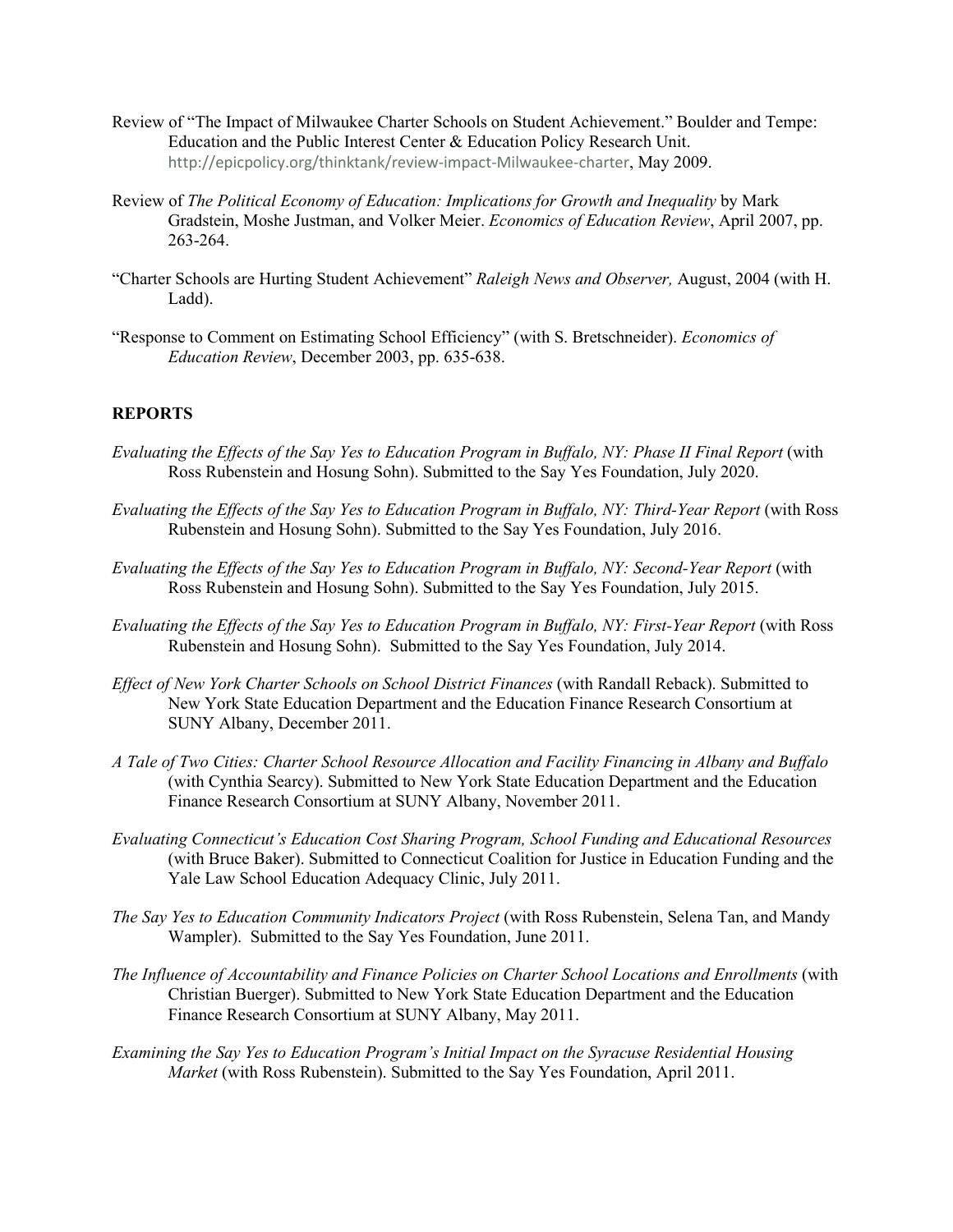- Review of "The Impact of Milwaukee Charter Schools on Student Achievement." Boulder and Tempe: Education and the Public Interest Center & Education Policy Research Unit. <http://epicpolicy.org/thinktank/review-impact-Milwaukee-charter>, May 2009.
- Review of *The Political Economy of Education: Implications for Growth and Inequality* by Mark Gradstein, Moshe Justman, and Volker Meier. *Economics of Education Review*, April 2007, pp. 263-264.
- "Charter Schools are Hurting Student Achievement" *Raleigh News and Observer,* August, 2004 (with H. Ladd).
- "Response to Comment on Estimating School Efficiency" (with S. Bretschneider). *Economics of Education Review*, December 2003, pp. 635-638.

# **REPORTS**

- *Evaluating the Effects of the Say Yes to Education Program in Buffalo, NY: Phase II Final Report* (with Ross Rubenstein and Hosung Sohn). Submitted to the Say Yes Foundation, July 2020.
- *Evaluating the Effects of the Say Yes to Education Program in Buffalo, NY: Third-Year Report (with Ross* Rubenstein and Hosung Sohn). Submitted to the Say Yes Foundation, July 2016.
- *Evaluating the Effects of the Say Yes to Education Program in Buffalo, NY: Second-Year Report* (with Ross Rubenstein and Hosung Sohn). Submitted to the Say Yes Foundation, July 2015.
- *Evaluating the Effects of the Say Yes to Education Program in Buffalo, NY: First-Year Report* (with Ross Rubenstein and Hosung Sohn). Submitted to the Say Yes Foundation, July 2014.
- *Effect of New York Charter Schools on School District Finances* (with Randall Reback). Submitted to New York State Education Department and the Education Finance Research Consortium at SUNY Albany, December 2011.
- *A Tale of Two Cities: Charter School Resource Allocation and Facility Financing in Albany and Buffalo* (with Cynthia Searcy). Submitted to New York State Education Department and the Education Finance Research Consortium at SUNY Albany, November 2011.
- *Evaluating Connecticut's Education Cost Sharing Program, School Funding and Educational Resources*  (with Bruce Baker). Submitted to Connecticut Coalition for Justice in Education Funding and the Yale Law School Education Adequacy Clinic, July 2011.
- *The Say Yes to Education Community Indicators Project* (with Ross Rubenstein, Selena Tan, and Mandy Wampler). Submitted to the Say Yes Foundation, June 2011.
- *The Influence of Accountability and Finance Policies on Charter School Locations and Enrollments* (with Christian Buerger). Submitted to New York State Education Department and the Education Finance Research Consortium at SUNY Albany, May 2011.
- *Examining the Say Yes to Education Program's Initial Impact on the Syracuse Residential Housing Market* (with Ross Rubenstein). Submitted to the Say Yes Foundation, April 2011.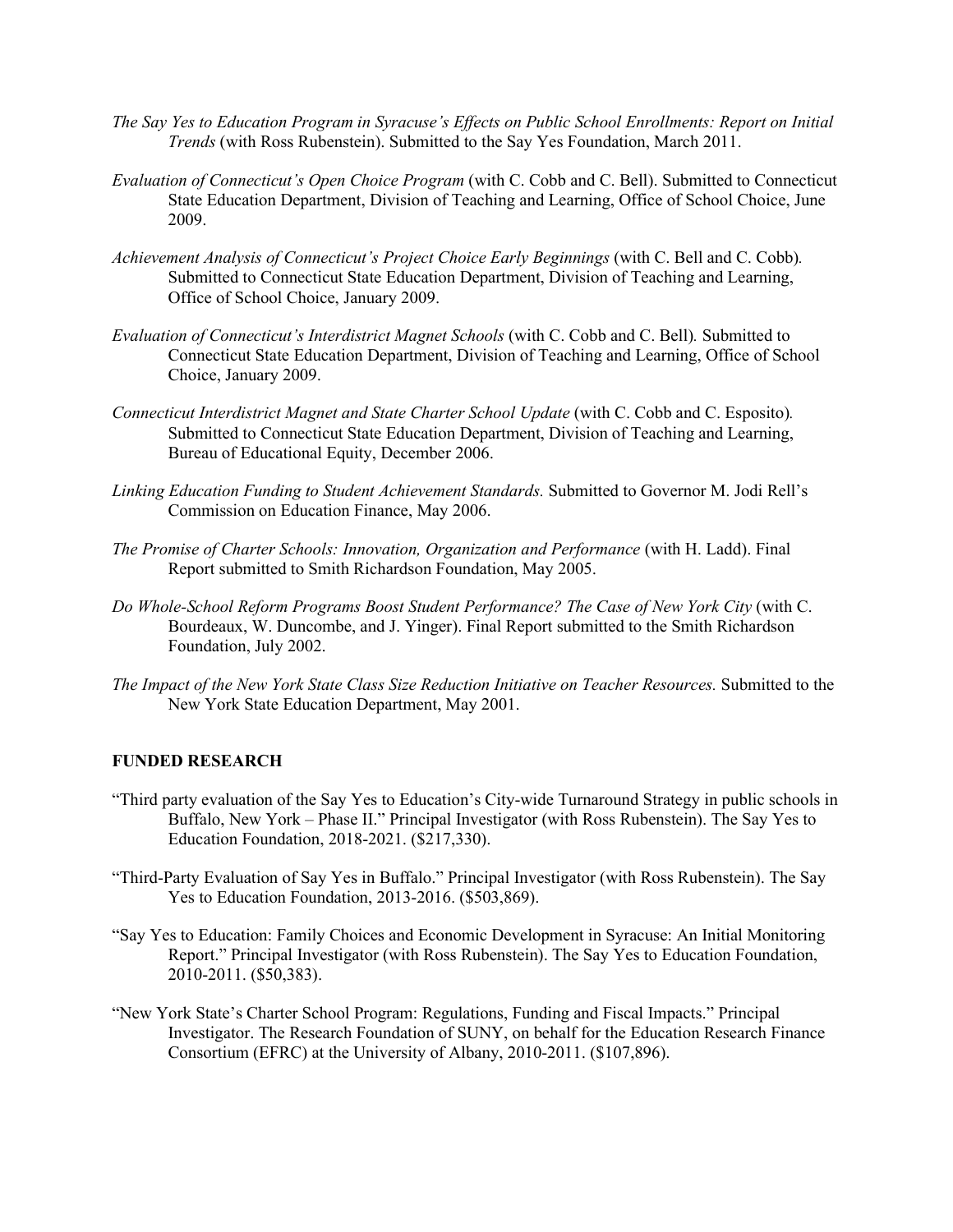- *The Say Yes to Education Program in Syracuse's Effects on Public School Enrollments: Report on Initial Trends* (with Ross Rubenstein). Submitted to the Say Yes Foundation, March 2011.
- *Evaluation of Connecticut's Open Choice Program* (with C. Cobb and C. Bell). Submitted to Connecticut State Education Department, Division of Teaching and Learning, Office of School Choice, June 2009.
- *Achievement Analysis of Connecticut's Project Choice Early Beginnings* (with C. Bell and C. Cobb)*.*  Submitted to Connecticut State Education Department, Division of Teaching and Learning, Office of School Choice, January 2009.
- *Evaluation of Connecticut's Interdistrict Magnet Schools* (with C. Cobb and C. Bell)*.* Submitted to Connecticut State Education Department, Division of Teaching and Learning, Office of School Choice, January 2009.
- *Connecticut Interdistrict Magnet and State Charter School Update* (with C. Cobb and C. Esposito)*.*  Submitted to Connecticut State Education Department, Division of Teaching and Learning, Bureau of Educational Equity, December 2006.
- *Linking Education Funding to Student Achievement Standards.* Submitted to Governor M. Jodi Rell's Commission on Education Finance, May 2006.
- *The Promise of Charter Schools: Innovation, Organization and Performance* (with H. Ladd). Final Report submitted to Smith Richardson Foundation, May 2005.
- Do Whole-School Reform Programs Boost Student Performance? The Case of New York City (with C. Bourdeaux, W. Duncombe, and J. Yinger). Final Report submitted to the Smith Richardson Foundation, July 2002.
- *The Impact of the New York State Class Size Reduction Initiative on Teacher Resources.* Submitted to the New York State Education Department, May 2001.

## **FUNDED RESEARCH**

- "Third party evaluation of the Say Yes to Education's City-wide Turnaround Strategy in public schools in Buffalo, New York – Phase II." Principal Investigator (with Ross Rubenstein). The Say Yes to Education Foundation, 2018-2021. (\$217,330).
- "Third-Party Evaluation of Say Yes in Buffalo." Principal Investigator (with Ross Rubenstein). The Say Yes to Education Foundation, 2013-2016. (\$503,869).
- "Say Yes to Education: Family Choices and Economic Development in Syracuse: An Initial Monitoring Report." Principal Investigator (with Ross Rubenstein). The Say Yes to Education Foundation, 2010-2011. (\$50,383).
- "New York State's Charter School Program: Regulations, Funding and Fiscal Impacts." Principal Investigator. The Research Foundation of SUNY, on behalf for the Education Research Finance Consortium (EFRC) at the University of Albany, 2010-2011. (\$107,896).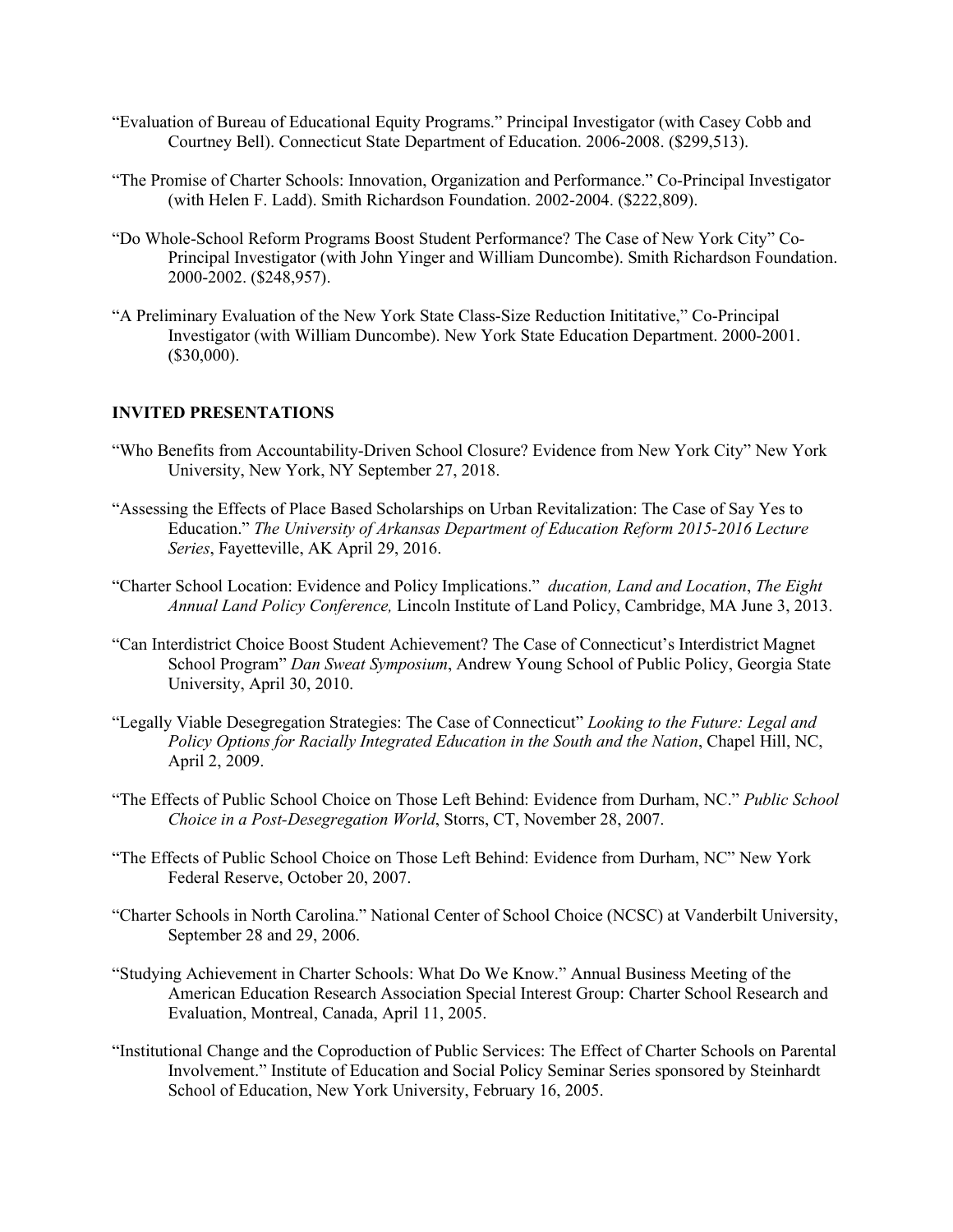- "Evaluation of Bureau of Educational Equity Programs." Principal Investigator (with Casey Cobb and Courtney Bell). Connecticut State Department of Education. 2006-2008. (\$299,513).
- "The Promise of Charter Schools: Innovation, Organization and Performance." Co-Principal Investigator (with Helen F. Ladd). Smith Richardson Foundation. 2002-2004. (\$222,809).
- "Do Whole-School Reform Programs Boost Student Performance? The Case of New York City" Co-Principal Investigator (with John Yinger and William Duncombe). Smith Richardson Foundation. 2000-2002. (\$248,957).
- "A Preliminary Evaluation of the New York State Class-Size Reduction Inititative," Co-Principal Investigator (with William Duncombe). New York State Education Department. 2000-2001. (\$30,000).

## **INVITED PRESENTATIONS**

- "Who Benefits from Accountability-Driven School Closure? Evidence from New York City" New York University, New York, NY September 27, 2018.
- "Assessing the Effects of Place Based Scholarships on Urban Revitalization: The Case of Say Yes to Education." *The University of Arkansas Department of Education Reform 2015-2016 Lecture Series*, Fayetteville, AK April 29, 2016.
- "Charter School Location: Evidence and Policy Implications." *ducation, Land and Location*, *The Eight Annual Land Policy Conference,* Lincoln Institute of Land Policy, Cambridge, MA June 3, 2013.
- "Can Interdistrict Choice Boost Student Achievement? The Case of Connecticut's Interdistrict Magnet School Program" *Dan Sweat Symposium*, Andrew Young School of Public Policy, Georgia State University, April 30, 2010.
- "Legally Viable Desegregation Strategies: The Case of Connecticut" *Looking to the Future: Legal and Policy Options for Racially Integrated Education in the South and the Nation*, Chapel Hill, NC, April 2, 2009.
- "The Effects of Public School Choice on Those Left Behind: Evidence from Durham, NC." *Public School Choice in a Post-Desegregation World*, Storrs, CT, November 28, 2007.
- "The Effects of Public School Choice on Those Left Behind: Evidence from Durham, NC" New York Federal Reserve, October 20, 2007.
- "Charter Schools in North Carolina." National Center of School Choice (NCSC) at Vanderbilt University, September 28 and 29, 2006.
- "Studying Achievement in Charter Schools: What Do We Know." Annual Business Meeting of the American Education Research Association Special Interest Group: Charter School Research and Evaluation, Montreal, Canada, April 11, 2005.
- "Institutional Change and the Coproduction of Public Services: The Effect of Charter Schools on Parental Involvement." Institute of Education and Social Policy Seminar Series sponsored by Steinhardt School of Education, New York University, February 16, 2005.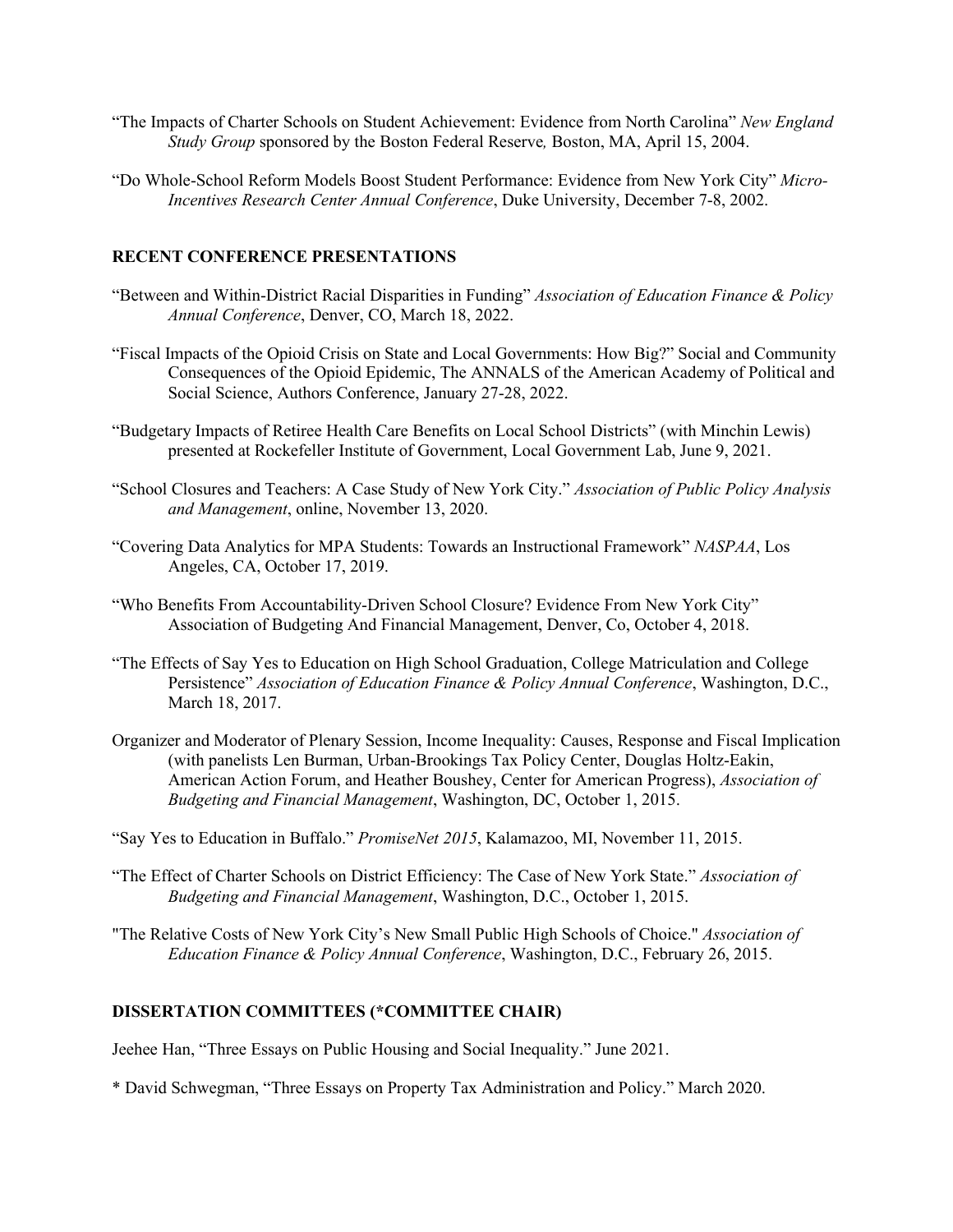- "The Impacts of Charter Schools on Student Achievement: Evidence from North Carolina" *New England Study Group* sponsored by the Boston Federal Reserve*,* Boston, MA, April 15, 2004.
- "Do Whole-School Reform Models Boost Student Performance: Evidence from New York City" *Micro-Incentives Research Center Annual Conference*, Duke University, December 7-8, 2002.

# **RECENT CONFERENCE PRESENTATIONS**

- "Between and Within-District Racial Disparities in Funding" *Association of Education Finance & Policy Annual Conference*, Denver, CO, March 18, 2022.
- "Fiscal Impacts of the Opioid Crisis on State and Local Governments: How Big?" Social and Community Consequences of the Opioid Epidemic, The ANNALS of the American Academy of Political and Social Science, Authors Conference, January 27-28, 2022.
- "Budgetary Impacts of Retiree Health Care Benefits on Local School Districts" (with Minchin Lewis) presented at Rockefeller Institute of Government, Local Government Lab, June 9, 2021.
- "School Closures and Teachers: A Case Study of New York City." *Association of Public Policy Analysis and Management*, online, November 13, 2020.
- "Covering Data Analytics for MPA Students: Towards an Instructional Framework" *NASPAA*, Los Angeles, CA, October 17, 2019.
- "Who Benefits From Accountability-Driven School Closure? Evidence From New York City" Association of Budgeting And Financial Management, Denver, Co, October 4, 2018.
- "The Effects of Say Yes to Education on High School Graduation, College Matriculation and College Persistence" *Association of Education Finance & Policy Annual Conference*, Washington, D.C., March 18, 2017.
- Organizer and Moderator of Plenary Session, Income Inequality: Causes, Response and Fiscal Implication (with panelists Len Burman, Urban-Brookings Tax Policy Center, Douglas Holtz-Eakin, American Action Forum, and Heather Boushey, Center for American Progress), *Association of Budgeting and Financial Management*, Washington, DC, October 1, 2015.
- "Say Yes to Education in Buffalo." *PromiseNet 2015*, Kalamazoo, MI, November 11, 2015.
- "The Effect of Charter Schools on District Efficiency: The Case of New York State." *Association of Budgeting and Financial Management*, Washington, D.C., October 1, 2015.
- "The Relative Costs of New York City's New Small Public High Schools of Choice." *Association of Education Finance & Policy Annual Conference*, Washington, D.C., February 26, 2015.

# **DISSERTATION COMMITTEES (\*COMMITTEE CHAIR)**

Jeehee Han, "Three Essays on Public Housing and Social Inequality." June 2021.

\* David Schwegman, "Three Essays on Property Tax Administration and Policy." March 2020.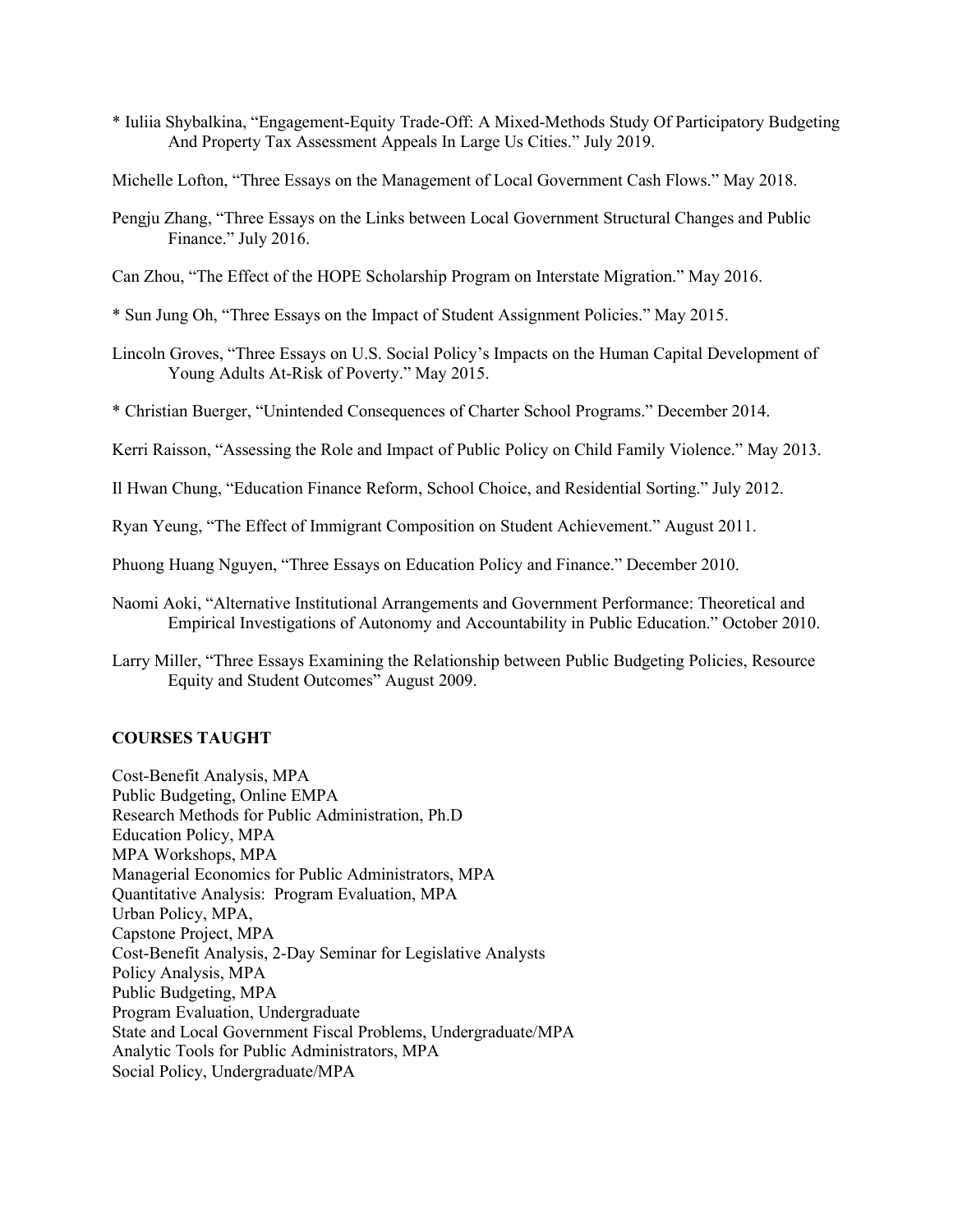\* Iuliia Shybalkina, "Engagement-Equity Trade-Off: A Mixed-Methods Study Of Participatory Budgeting And Property Tax Assessment Appeals In Large Us Cities." July 2019.

Michelle Lofton, "Three Essays on the Management of Local Government Cash Flows." May 2018.

- Pengju Zhang, "Three Essays on the Links between Local Government Structural Changes and Public Finance." July 2016.
- Can Zhou, "The Effect of the HOPE Scholarship Program on Interstate Migration." May 2016.
- \* Sun Jung Oh, "Three Essays on the Impact of Student Assignment Policies." May 2015.
- Lincoln Groves, "Three Essays on U.S. Social Policy's Impacts on the Human Capital Development of Young Adults At-Risk of Poverty." May 2015.
- \* Christian Buerger, "Unintended Consequences of Charter School Programs." December 2014.
- Kerri Raisson, "Assessing the Role and Impact of Public Policy on Child Family Violence." May 2013.
- Il Hwan Chung, "Education Finance Reform, School Choice, and Residential Sorting." July 2012.
- Ryan Yeung, "The Effect of Immigrant Composition on Student Achievement." August 2011.
- Phuong Huang Nguyen, "Three Essays on Education Policy and Finance." December 2010.
- Naomi Aoki, "Alternative Institutional Arrangements and Government Performance: Theoretical and Empirical Investigations of Autonomy and Accountability in Public Education." October 2010.
- Larry Miller, "Three Essays Examining the Relationship between Public Budgeting Policies, Resource Equity and Student Outcomes" August 2009.

## **COURSES TAUGHT**

Cost-Benefit Analysis, MPA Public Budgeting, Online EMPA Research Methods for Public Administration, Ph.D Education Policy, MPA MPA Workshops, MPA Managerial Economics for Public Administrators, MPA Quantitative Analysis: Program Evaluation, MPA Urban Policy, MPA, Capstone Project, MPA Cost-Benefit Analysis, 2-Day Seminar for Legislative Analysts Policy Analysis, MPA Public Budgeting, MPA Program Evaluation, Undergraduate State and Local Government Fiscal Problems, Undergraduate/MPA Analytic Tools for Public Administrators, MPA Social Policy, Undergraduate/MPA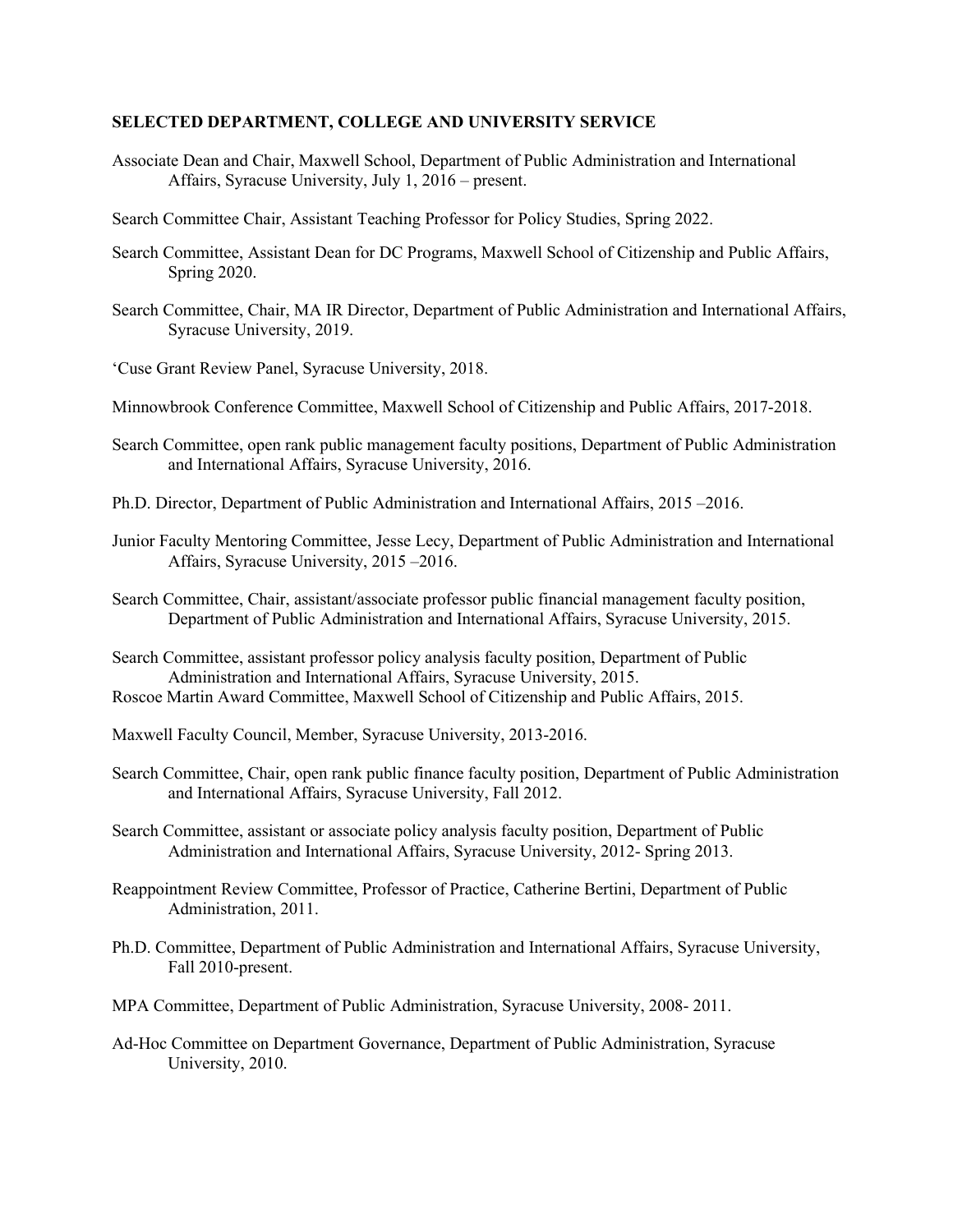#### **SELECTED DEPARTMENT, COLLEGE AND UNIVERSITY SERVICE**

- Associate Dean and Chair, Maxwell School, Department of Public Administration and International Affairs, Syracuse University, July 1, 2016 – present.
- Search Committee Chair, Assistant Teaching Professor for Policy Studies, Spring 2022.
- Search Committee, Assistant Dean for DC Programs, Maxwell School of Citizenship and Public Affairs, Spring 2020.
- Search Committee, Chair, MA IR Director, Department of Public Administration and International Affairs, Syracuse University, 2019.
- 'Cuse Grant Review Panel, Syracuse University, 2018.
- Minnowbrook Conference Committee, Maxwell School of Citizenship and Public Affairs, 2017-2018.
- Search Committee, open rank public management faculty positions, Department of Public Administration and International Affairs, Syracuse University, 2016.
- Ph.D. Director, Department of Public Administration and International Affairs, 2015 –2016.
- Junior Faculty Mentoring Committee, Jesse Lecy, Department of Public Administration and International Affairs, Syracuse University, 2015 –2016.
- Search Committee, Chair, assistant/associate professor public financial management faculty position, Department of Public Administration and International Affairs, Syracuse University, 2015.
- Search Committee, assistant professor policy analysis faculty position, Department of Public Administration and International Affairs, Syracuse University, 2015.
- Roscoe Martin Award Committee, Maxwell School of Citizenship and Public Affairs, 2015.
- Maxwell Faculty Council, Member, Syracuse University, 2013-2016.
- Search Committee, Chair, open rank public finance faculty position, Department of Public Administration and International Affairs, Syracuse University, Fall 2012.
- Search Committee, assistant or associate policy analysis faculty position, Department of Public Administration and International Affairs, Syracuse University, 2012- Spring 2013.
- Reappointment Review Committee, Professor of Practice, Catherine Bertini, Department of Public Administration, 2011.
- Ph.D. Committee, Department of Public Administration and International Affairs, Syracuse University, Fall 2010-present.
- MPA Committee, Department of Public Administration, Syracuse University, 2008- 2011.
- Ad-Hoc Committee on Department Governance, Department of Public Administration, Syracuse University, 2010.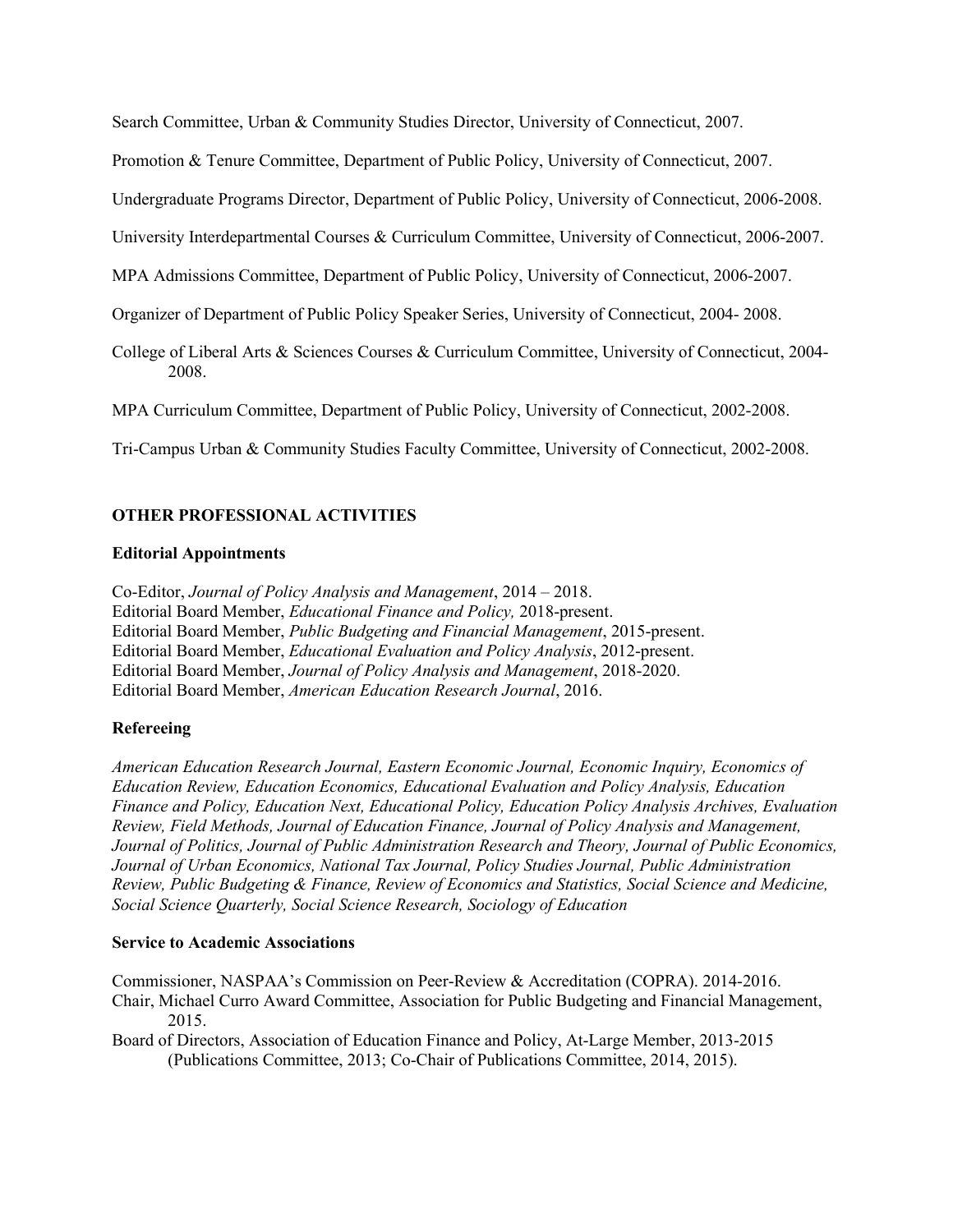Search Committee, Urban & Community Studies Director, University of Connecticut, 2007.

Promotion & Tenure Committee, Department of Public Policy, University of Connecticut, 2007.

Undergraduate Programs Director, Department of Public Policy, University of Connecticut, 2006-2008.

University Interdepartmental Courses & Curriculum Committee, University of Connecticut, 2006-2007.

MPA Admissions Committee, Department of Public Policy, University of Connecticut, 2006-2007.

Organizer of Department of Public Policy Speaker Series, University of Connecticut, 2004- 2008.

College of Liberal Arts & Sciences Courses & Curriculum Committee, University of Connecticut, 2004- 2008.

MPA Curriculum Committee, Department of Public Policy, University of Connecticut, 2002-2008.

Tri-Campus Urban & Community Studies Faculty Committee, University of Connecticut, 2002-2008.

# **OTHER PROFESSIONAL ACTIVITIES**

#### **Editorial Appointments**

Co-Editor, *Journal of Policy Analysis and Management*, 2014 – 2018. Editorial Board Member, *Educational Finance and Policy,* 2018-present. Editorial Board Member, *Public Budgeting and Financial Management*, 2015-present. Editorial Board Member, *Educational Evaluation and Policy Analysis*, 2012-present. Editorial Board Member, *Journal of Policy Analysis and Management*, 2018-2020. Editorial Board Member, *American Education Research Journal*, 2016.

# **Refereeing**

*American Education Research Journal, Eastern Economic Journal, Economic Inquiry, Economics of Education Review, Education Economics, Educational Evaluation and Policy Analysis, Education Finance and Policy, Education Next, Educational Policy, Education Policy Analysis Archives, Evaluation Review, Field Methods, Journal of Education Finance, Journal of Policy Analysis and Management, Journal of Politics, Journal of Public Administration Research and Theory, Journal of Public Economics, Journal of Urban Economics, National Tax Journal, Policy Studies Journal, Public Administration Review, Public Budgeting & Finance, Review of Economics and Statistics, Social Science and Medicine, Social Science Quarterly, Social Science Research, Sociology of Education*

#### **Service to Academic Associations**

Commissioner, NASPAA's Commission on Peer-Review & Accreditation (COPRA). 2014-2016. Chair, Michael Curro Award Committee, Association for Public Budgeting and Financial Management, 2015.

Board of Directors, Association of Education Finance and Policy, At-Large Member, 2013-2015 (Publications Committee, 2013; Co-Chair of Publications Committee, 2014, 2015).